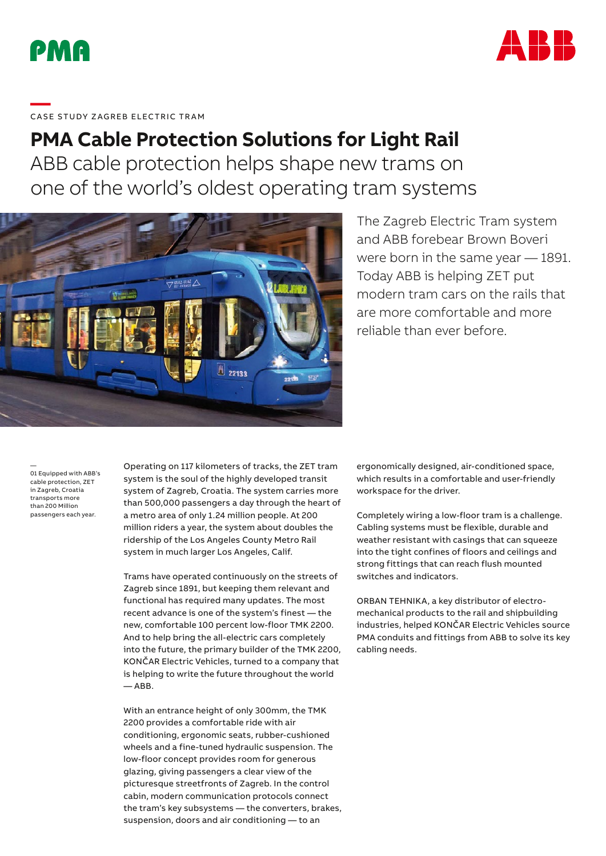



# ——<br>CASE STUDY ZAGREB ELECTRIC TRAM

## **PMA Cable Protection Solutions for Light Rail**

ABB cable protection helps shape new trams on one of the world's oldest operating tram systems



### The Zagreb Electric Tram system and ABB forebear Brown Boveri were born in the same year — 1891. Today ABB is helping ZET put modern tram cars on the rails that are more comfortable and more reliable than ever before.

— 01 Equipped with ABB's cable protection, ZET in Zagreb, Croatia transports more than 200 Million passengers each year.

Operating on 117 kilometers of tracks, the ZET tram system is the soul of the highly developed transit system of Zagreb, Croatia. The system carries more than 500,000 passengers a day through the heart of a metro area of only 1.24 million people. At 200 million riders a year, the system about doubles the ridership of the Los Angeles County Metro Rail system in much larger Los Angeles, Calif.

Trams have operated continuously on the streets of Zagreb since 1891, but keeping them relevant and functional has required many updates. The most recent advance is one of the system's finest — the new, comfortable 100 percent low-floor TMK 2200. And to help bring the all-electric cars completely into the future, the primary builder of the TMK 2200, KONČAR Electric Vehicles, turned to a company that is helping to write the future throughout the world  $-$  ABB.

With an entrance height of only 300mm, the TMK 2200 provides a comfortable ride with air conditioning, ergonomic seats, rubber-cushioned wheels and a fine-tuned hydraulic suspension. The low-floor concept provides room for generous glazing, giving passengers a clear view of the picturesque streetfronts of Zagreb. In the control cabin, modern communication protocols connect the tram's key subsystems — the converters, brakes, suspension, doors and air conditioning — to an

ergonomically designed, air-conditioned space, which results in a comfortable and user-friendly workspace for the driver.

Completely wiring a low-floor tram is a challenge. Cabling systems must be flexible, durable and weather resistant with casings that can squeeze into the tight confines of floors and ceilings and strong fittings that can reach flush mounted switches and indicators.

ORBAN TEHNIKA, a key distributor of electromechanical products to the rail and shipbuilding industries, helped KONČAR Electric Vehicles source PMA conduits and fittings from ABB to solve its key cabling needs.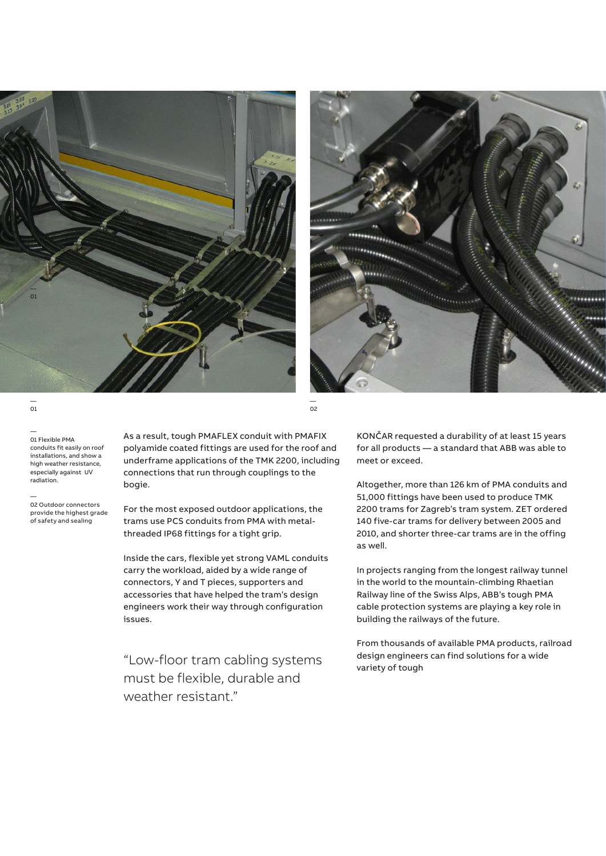



— 01

— 01 Flexible PMA conduits fit easily on roof installations, and show a high weather resistance, especially against UV radiation.

— 02 Outdoor connectors provide the highest grade of safety and sealing

As a result, tough PMAFLEX conduit with PMAFIX polyamide coated fittings are used for the roof and underframe applications of the TMK 2200, including connections that run through couplings to the bogie.

— 02

For the most exposed outdoor applications, the trams use PCS conduits from PMA with metalthreaded IP68 fittings for a tight grip.

Inside the cars, flexible yet strong VAML conduits carry the workload, aided by a wide range of connectors, Y and T pieces, supporters and accessories that have helped the tram's design engineers work their way through configuration issues.

"Low-floor tram cabling systems must be flexible, durable and weather resistant"

KONČAR requested a durability of at least 15 years for all products — a standard that ABB was able to meet or exceed.

Altogether, more than 126 km of PMA conduits and 51,000 fittings have been used to produce TMK 2200 trams for Zagreb's tram system. ZET ordered 140 five-car trams for delivery between 2005 and 2010, and shorter three-car trams are in the offing as well.

In projects ranging from the longest railway tunnel in the world to the mountain-climbing Rhaetian Railway line of the Swiss Alps, ABB's tough PMA cable protection systems are playing a key role in building the railways of the future.

From thousands of available PMA products, railroad design engineers can find solutions for a wide variety of tough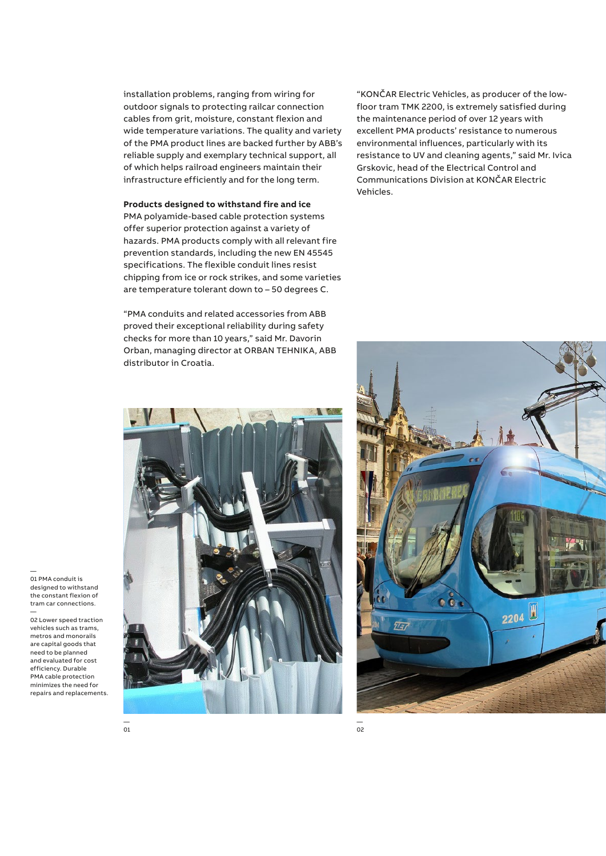installation problems, ranging from wiring for outdoor signals to protecting railcar connection cables from grit, moisture, constant flexion and wide temperature variations. The quality and variety of the PMA product lines are backed further by ABB's reliable supply and exemplary technical support, all of which helps railroad engineers maintain their infrastructure efficiently and for the long term.

**Products designed to withstand fire and ice**

PMA polyamide-based cable protection systems offer superior protection against a variety of hazards. PMA products comply with all relevant fire prevention standards, including the new EN 45545 specifications. The flexible conduit lines resist chipping from ice or rock strikes, and some varieties are temperature tolerant down to – 50 degrees C.

"PMA conduits and related accessories from ABB proved their exceptional reliability during safety checks for more than 10 years," said Mr. Davorin Orban, managing director at ORBAN TEHNIKA, ABB distributor in Croatia.

"KONČAR Electric Vehicles, as producer of the lowfloor tram TMK 2200, is extremely satisfied during the maintenance period of over 12 years with excellent PMA products' resistance to numerous environmental influences, particularly with its resistance to UV and cleaning agents," said Mr. Ivica Grskovic, head of the Electrical Control and Communications Division at KONČAR Electric Vehicles.





— 02 Lower speed traction vehicles such as trams,

01 PMA conduit is designed to withstand the constant flexion of tram car connections.

—

metros and monorails are capital goods that need to be planned and evaluated for cost efficiency. Durable PMA cable protection minimizes the need for repairs and replacements.